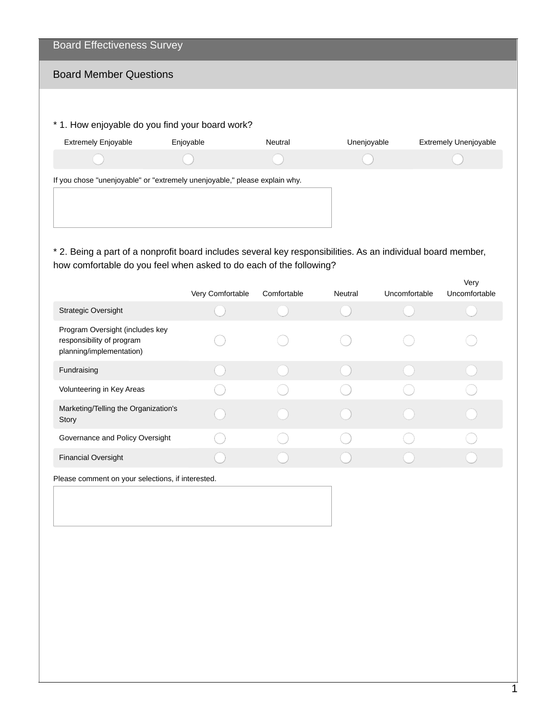| <b>Board Effectiveness Survey</b>                                          |           |         |             |                              |
|----------------------------------------------------------------------------|-----------|---------|-------------|------------------------------|
| <b>Board Member Questions</b>                                              |           |         |             |                              |
|                                                                            |           |         |             |                              |
| * 1. How enjoyable do you find your board work?                            |           |         |             |                              |
| <b>Extremely Enjoyable</b>                                                 | Enjoyable | Neutral | Unenjoyable | <b>Extremely Unenjoyable</b> |
|                                                                            |           |         |             |                              |
| If you chose "unenjoyable" or "extremely unenjoyable," please explain why. |           |         |             |                              |
|                                                                            |           |         |             |                              |
|                                                                            |           |         |             |                              |
|                                                                            |           |         |             |                              |

\* 2. Being a part of a nonprofit board includes several key responsibilities. As an individual board member, how comfortable do you feel when asked to do each of the following?

|                                                                                          | Very Comfortable | Comfortable | Neutral | Uncomfortable | Very<br>Uncomfortable |
|------------------------------------------------------------------------------------------|------------------|-------------|---------|---------------|-----------------------|
| <b>Strategic Oversight</b>                                                               |                  |             |         |               |                       |
| Program Oversight (includes key<br>responsibility of program<br>planning/implementation) |                  |             |         |               |                       |
| Fundraising                                                                              |                  |             |         |               |                       |
| Volunteering in Key Areas                                                                |                  |             |         |               |                       |
| Marketing/Telling the Organization's<br>Story                                            |                  |             |         |               |                       |
| Governance and Policy Oversight                                                          |                  |             |         |               |                       |
| <b>Financial Oversight</b>                                                               |                  |             |         |               |                       |
|                                                                                          |                  |             |         |               |                       |

Please comment on your selections, if interested.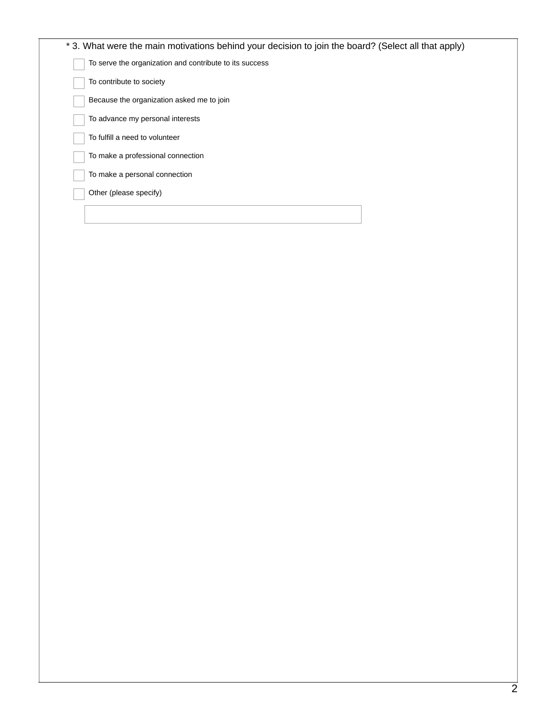| * 3. What were the main motivations behind your decision to join the board? (Select all that apply) |  |
|-----------------------------------------------------------------------------------------------------|--|
| To serve the organization and contribute to its success                                             |  |
| To contribute to society                                                                            |  |
| Because the organization asked me to join                                                           |  |
| To advance my personal interests                                                                    |  |
| To fulfill a need to volunteer                                                                      |  |
| To make a professional connection                                                                   |  |
| To make a personal connection                                                                       |  |
| Other (please specify)                                                                              |  |
|                                                                                                     |  |
|                                                                                                     |  |